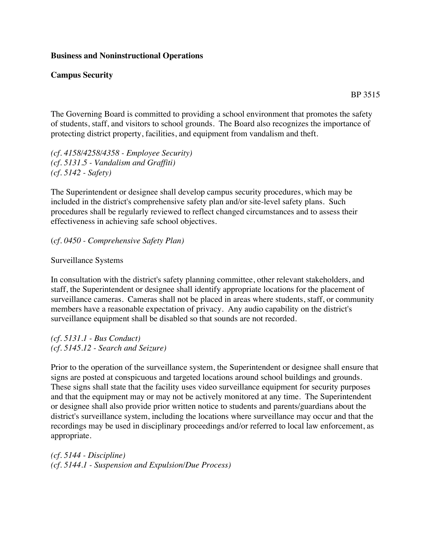## **Business and Noninstructional Operations**

## **Campus Security**

BP 3515

The Governing Board is committed to providing a school environment that promotes the safety of students, staff, and visitors to school grounds. The Board also recognizes the importance of protecting district property, facilities, and equipment from vandalism and theft.

*(cf. 4158/4258/4358 - Employee Security) (cf. 5131.5 - Vandalism and Graffiti) (cf. 5142 - Safety)*

The Superintendent or designee shall develop campus security procedures, which may be included in the district's comprehensive safety plan and/or site-level safety plans. Such procedures shall be regularly reviewed to reflect changed circumstances and to assess their effectiveness in achieving safe school objectives.

(*cf. 0450 - Comprehensive Safety Plan)*

Surveillance Systems

In consultation with the district's safety planning committee, other relevant stakeholders, and staff, the Superintendent or designee shall identify appropriate locations for the placement of surveillance cameras. Cameras shall not be placed in areas where students, staff, or community members have a reasonable expectation of privacy. Any audio capability on the district's surveillance equipment shall be disabled so that sounds are not recorded.

*(cf. 5131.1 - Bus Conduct) (cf. 5145.12 - Search and Seizure)*

Prior to the operation of the surveillance system, the Superintendent or designee shall ensure that signs are posted at conspicuous and targeted locations around school buildings and grounds. These signs shall state that the facility uses video surveillance equipment for security purposes and that the equipment may or may not be actively monitored at any time. The Superintendent or designee shall also provide prior written notice to students and parents/guardians about the district's surveillance system, including the locations where surveillance may occur and that the recordings may be used in disciplinary proceedings and/or referred to local law enforcement, as appropriate.

*(cf. 5144 - Discipline) (cf. 5144.1 - Suspension and Expulsion/Due Process)*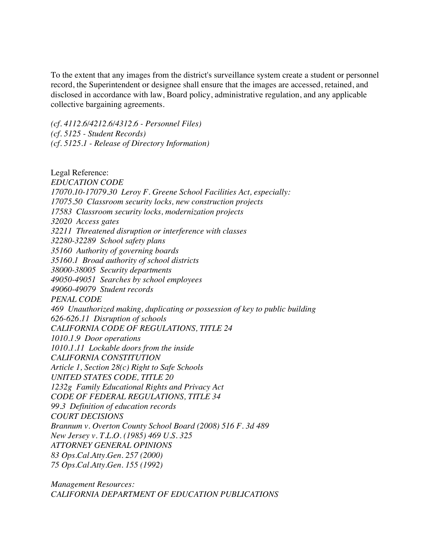To the extent that any images from the district's surveillance system create a student or personnel record, the Superintendent or designee shall ensure that the images are accessed, retained, and disclosed in accordance with law, Board policy, administrative regulation, and any applicable collective bargaining agreements.

*(cf. 4112.6/4212.6/4312.6 - Personnel Files) (cf. 5125 - Student Records) (cf. 5125.1 - Release of Directory Information)*

Legal Reference: *EDUCATION CODE 17070.10-17079.30 Leroy F. Greene School Facilities Act, especially: 17075.50 Classroom security locks, new construction projects 17583 Classroom security locks, modernization projects 32020 Access gates 32211 Threatened disruption or interference with classes 32280-32289 School safety plans 35160 Authority of governing boards 35160.1 Broad authority of school districts 38000-38005 Security departments 49050-49051 Searches by school employees 49060-49079 Student records PENAL CODE 469 Unauthorized making, duplicating or possession of key to public building 626-626.11 Disruption of schools CALIFORNIA CODE OF REGULATIONS, TITLE 24 1010.1.9 Door operations 1010.1.11 Lockable doors from the inside CALIFORNIA CONSTITUTION Article 1, Section 28(c) Right to Safe Schools UNITED STATES CODE, TITLE 20 1232g Family Educational Rights and Privacy Act CODE OF FEDERAL REGULATIONS, TITLE 34 99.3 Definition of education records COURT DECISIONS Brannum v. Overton County School Board (2008) 516 F. 3d 489 New Jersey v. T.L.O. (1985) 469 U.S. 325 ATTORNEY GENERAL OPINIONS 83 Ops.Cal.Atty.Gen. 257 (2000) 75 Ops.Cal.Atty.Gen. 155 (1992)*

*Management Resources: CALIFORNIA DEPARTMENT OF EDUCATION PUBLICATIONS*